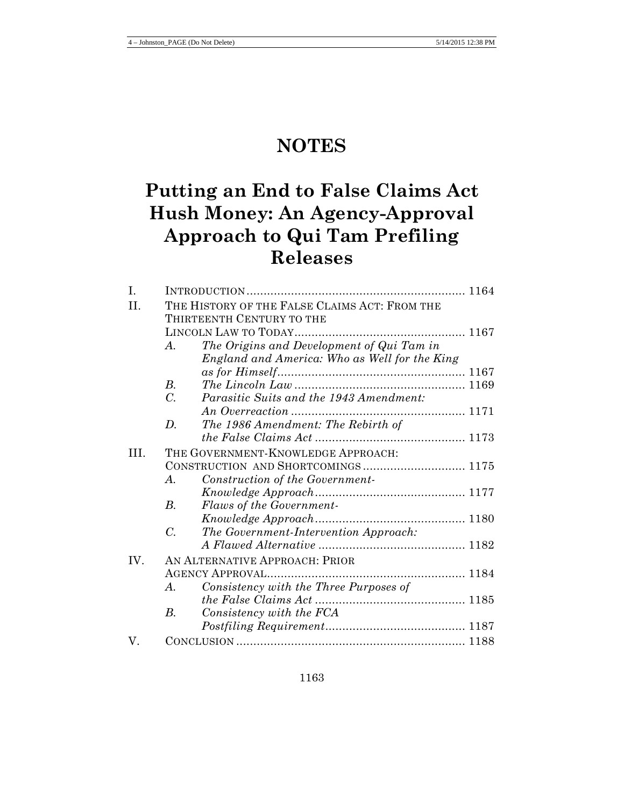# **NOTES**

# **Putting an End to False Claims Act Hush Money: An Agency-Approval Approach to Qui Tam Prefiling Releases**

| I.   |                                    |                                                                            |  |  |
|------|------------------------------------|----------------------------------------------------------------------------|--|--|
| II.  |                                    | THE HISTORY OF THE FALSE CLAIMS ACT: FROM THE<br>THIRTEENTH CENTURY TO THE |  |  |
|      |                                    |                                                                            |  |  |
|      | $\mathcal{A}_{\cdot}$              | The Origins and Development of Qui Tam in                                  |  |  |
|      |                                    | England and America: Who as Well for the King                              |  |  |
|      |                                    |                                                                            |  |  |
|      | $B_{\cdot}$                        |                                                                            |  |  |
|      | $\mathcal{C}$ .                    | Parasitic Suits and the 1943 Amendment:                                    |  |  |
|      |                                    |                                                                            |  |  |
|      | D.                                 | The 1986 Amendment: The Rebirth of                                         |  |  |
|      |                                    |                                                                            |  |  |
| III. | THE GOVERNMENT-KNOWLEDGE APPROACH: |                                                                            |  |  |
|      | CONSTRUCTION AND SHORTCOMINGS 1175 |                                                                            |  |  |
|      | $\boldsymbol{A}$ .                 | Construction of the Government-                                            |  |  |
|      |                                    |                                                                            |  |  |
|      | B.                                 | Flaws of the Government-                                                   |  |  |
|      |                                    |                                                                            |  |  |
|      | $\mathcal{C}$ .                    | The Government-Intervention Approach:                                      |  |  |
|      |                                    |                                                                            |  |  |
| IV.  | AN ALTERNATIVE APPROACH: PRIOR     |                                                                            |  |  |
|      |                                    |                                                                            |  |  |
|      | $\mathcal{A}_{\cdot}$              | Consistency with the Three Purposes of                                     |  |  |
|      |                                    |                                                                            |  |  |
|      | $B_{\cdot}$                        | Consistency with the FCA                                                   |  |  |
|      |                                    |                                                                            |  |  |
| V.   |                                    |                                                                            |  |  |
|      |                                    |                                                                            |  |  |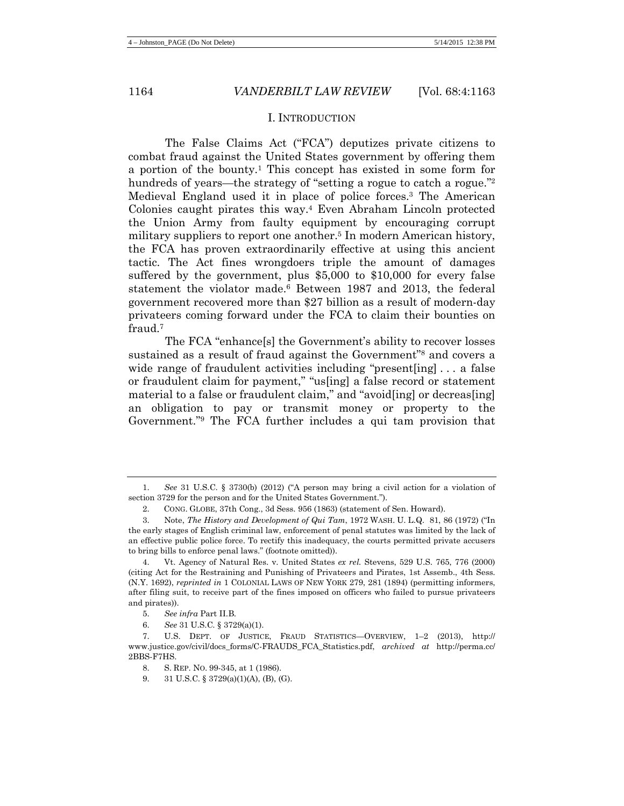#### <span id="page-1-0"></span>I. INTRODUCTION

The False Claims Act ("FCA") deputizes private citizens to combat fraud against the United States government by offering them a portion of the bounty.1 This concept has existed in some form for hundreds of years—the strategy of "setting a rogue to catch a rogue."<sup>2</sup> Medieval England used it in place of police forces.3 The American Colonies caught pirates this way.4 Even Abraham Lincoln protected the Union Army from faulty equipment by encouraging corrupt military suppliers to report one another.<sup>5</sup> In modern American history, the FCA has proven extraordinarily effective at using this ancient tactic. The Act fines wrongdoers triple the amount of damages suffered by the government, plus \$5,000 to \$10,000 for every false statement the violator made.6 Between 1987 and 2013, the federal government recovered more than \$27 billion as a result of modern-day privateers coming forward under the FCA to claim their bounties on fraud.7

The FCA "enhance[s] the Government's ability to recover losses sustained as a result of fraud against the Government"<sup>8</sup> and covers a wide range of fraudulent activities including "present [ing]... a false or fraudulent claim for payment," "us[ing] a false record or statement material to a false or fraudulent claim," and "avoid[ing] or decreas[ing] an obligation to pay or transmit money or property to the Government."9 The FCA further includes a qui tam provision that

<sup>1.</sup> *See* 31 U.S.C. § 3730(b) (2012) ("A person may bring a civil action for a violation of section 3729 for the person and for the United States Government.").

<sup>2.</sup> CONG. GLOBE, 37th Cong., 3d Sess. 956 (1863) (statement of Sen. Howard).

<sup>3.</sup> Note, *The History and Development of Qui Tam*, 1972 WASH. U. L.Q. 81, 86 (1972) ("In the early stages of English criminal law, enforcement of penal statutes was limited by the lack of an effective public police force. To rectify this inadequacy, the courts permitted private accusers to bring bills to enforce penal laws." (footnote omitted)).

<sup>4.</sup> Vt. Agency of Natural Res. v. United States *ex rel.* Stevens, 529 U.S. 765, 776 (2000) (citing Act for the Restraining and Punishing of Privateers and Pirates, 1st Assemb., 4th Sess. (N.Y. 1692), *reprinted in* 1 COLONIAL LAWS OF NEW YORK 279, 281 (1894) (permitting informers, after filing suit, to receive part of the fines imposed on officers who failed to pursue privateers and pirates)).

<sup>5.</sup> *See infra* Part II.B.

<sup>6.</sup> *See* 31 U.S.C. § 3729(a)(1).

<sup>7.</sup> U.S. DEPT. OF JUSTICE, FRAUD STATISTICS—OVERVIEW, 1–2 (2013), http:// www.justice.gov/civil/docs\_forms/C-FRAUDS\_FCA\_Statistics.pdf, *archived at* http://perma.cc/ 2BBS-F7HS.

<sup>8.</sup> S. REP. NO. 99-345, at 1 (1986).

<sup>9.</sup> 31 U.S.C. § 3729(a)(1)(A), (B), (G).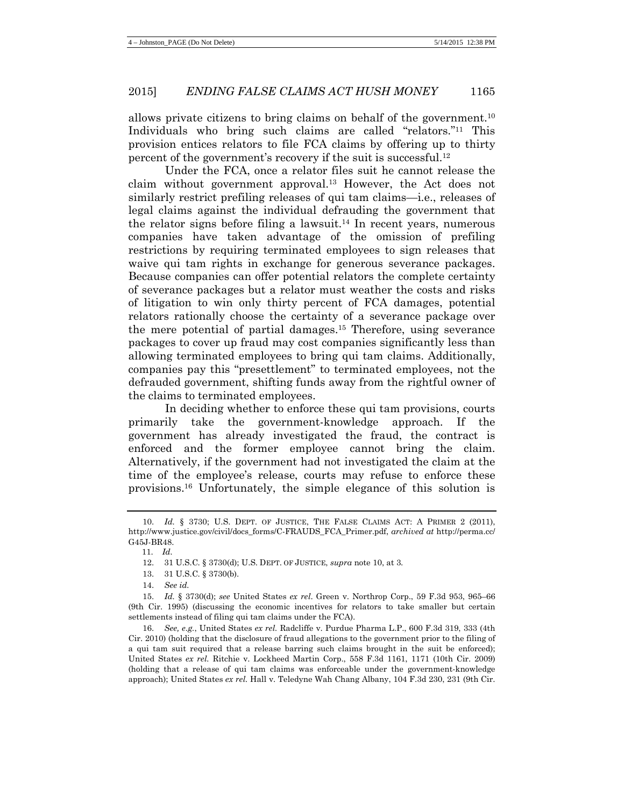<span id="page-2-0"></span>allows private citizens to bring claims on behalf of the government.10 Individuals who bring such claims are called "relators."11 This provision entices relators to file FCA claims by offering up to thirty percent of the government's recovery if the suit is successful.12

Under the FCA, once a relator files suit he cannot release the claim without government approval.13 However, the Act does not similarly restrict prefiling releases of qui tam claims—i.e., releases of legal claims against the individual defrauding the government that the relator signs before filing a lawsuit.<sup>14</sup> In recent years, numerous companies have taken advantage of the omission of prefiling restrictions by requiring terminated employees to sign releases that waive qui tam rights in exchange for generous severance packages. Because companies can offer potential relators the complete certainty of severance packages but a relator must weather the costs and risks of litigation to win only thirty percent of FCA damages, potential relators rationally choose the certainty of a severance package over the mere potential of partial damages.15 Therefore, using severance packages to cover up fraud may cost companies significantly less than allowing terminated employees to bring qui tam claims. Additionally, companies pay this "presettlement" to terminated employees, not the defrauded government, shifting funds away from the rightful owner of the claims to terminated employees.

In deciding whether to enforce these qui tam provisions, courts primarily take the government-knowledge approach. If the government has already investigated the fraud, the contract is enforced and the former employee cannot bring the claim. Alternatively, if the government had not investigated the claim at the time of the employee's release, courts may refuse to enforce these provisions. <sup>16</sup> Unfortunately, the simple elegance of this solution is

<sup>10.</sup> *Id.* § 3730; U.S. DEPT. OF JUSTICE, THE FALSE CLAIMS ACT: A PRIMER 2 (2011), http://www.justice.gov/civil/docs\_forms/C-FRAUDS\_FCA\_Primer.pdf, *archived at* http://perma.cc/ G45J-BR48.

 <sup>11.</sup> *Id.*

<sup>12.</sup> 31 U.S.C. § 3730(d); U.S. DEPT. OF JUSTICE, *supra* note [10,](#page-2-0) at 3.

<sup>13.</sup> 31 U.S.C. § 3730(b).

<sup>14.</sup> *See id.*

<sup>15.</sup> *Id.* § 3730(d); *see* United States *ex rel*. Green v. Northrop Corp., 59 F.3d 953, 965–66 (9th Cir. 1995) (discussing the economic incentives for relators to take smaller but certain settlements instead of filing qui tam claims under the FCA).

<sup>16.</sup> *See, e.g.*, United States *ex rel.* Radcliffe v. Purdue Pharma L.P., 600 F.3d 319, 333 (4th Cir. 2010) (holding that the disclosure of fraud allegations to the government prior to the filing of a qui tam suit required that a release barring such claims brought in the suit be enforced); United States *ex rel.* Ritchie v. Lockheed Martin Corp., 558 F.3d 1161, 1171 (10th Cir. 2009) (holding that a release of qui tam claims was enforceable under the government-knowledge approach); United States *ex rel.* Hall v. Teledyne Wah Chang Albany, 104 F.3d 230, 231 (9th Cir.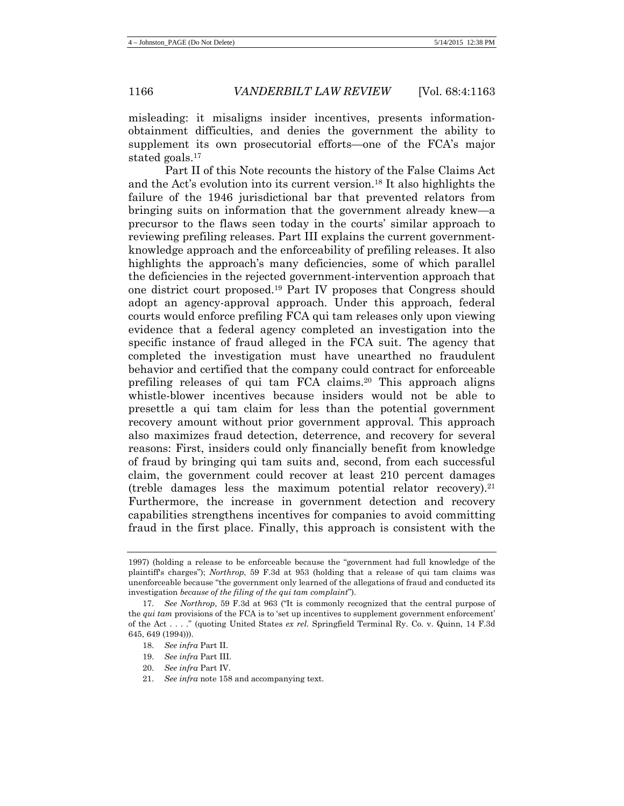misleading: it misaligns insider incentives, presents informationobtainment difficulties, and denies the government the ability to supplement its own prosecutorial efforts—one of the FCA's major stated goals.17

Part II of this Note recounts the history of the False Claims Act and the Act's evolution into its current version.18 It also highlights the failure of the 1946 jurisdictional bar that prevented relators from bringing suits on information that the government already knew—a precursor to the flaws seen today in the courts' similar approach to reviewing prefiling releases. Part III explains the current governmentknowledge approach and the enforceability of prefiling releases. It also highlights the approach's many deficiencies, some of which parallel the deficiencies in the rejected government-intervention approach that one district court proposed.19 Part IV proposes that Congress should adopt an agency-approval approach. Under this approach, federal courts would enforce prefiling FCA qui tam releases only upon viewing evidence that a federal agency completed an investigation into the specific instance of fraud alleged in the FCA suit. The agency that completed the investigation must have unearthed no fraudulent behavior and certified that the company could contract for enforceable prefiling releases of qui tam FCA claims.20 This approach aligns whistle-blower incentives because insiders would not be able to presettle a qui tam claim for less than the potential government recovery amount without prior government approval. This approach also maximizes fraud detection, deterrence, and recovery for several reasons: First, insiders could only financially benefit from knowledge of fraud by bringing qui tam suits and, second, from each successful claim, the government could recover at least 210 percent damages (treble damages less the maximum potential relator recovery).<sup>21</sup> Furthermore, the increase in government detection and recovery capabilities strengthens incentives for companies to avoid committing fraud in the first place. Finally, this approach is consistent with the

- 20. *See infra* Part IV.
- 21. *See infra* not[e 158](#page-24-0) and accompanying text.

<sup>1997) (</sup>holding a release to be enforceable because the "government had full knowledge of the plaintiff's charges"); *Northrop*, 59 F.3d at 953 (holding that a release of qui tam claims was unenforceable because "the government only learned of the allegations of fraud and conducted its investigation *because of the filing of the qui tam complaint*").

<sup>17.</sup> *See Northrop*, 59 F.3d at 963 ("It is commonly recognized that the central purpose of the *qui tam* provisions of the FCA is to 'set up incentives to supplement government enforcement' of the Act . . . ." (quoting United States *ex rel.* Springfield Terminal Ry. Co. v. Quinn, 14 F.3d 645, 649 (1994))).

<sup>18.</sup> *See infra* Part II.

<sup>19.</sup> *See infra* Part III.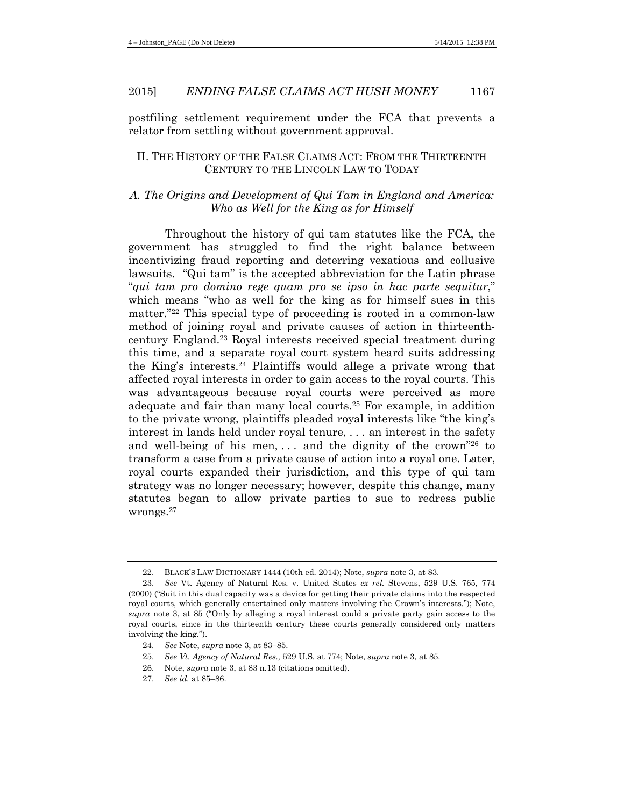postfiling settlement requirement under the FCA that prevents a relator from settling without government approval.

### II. THE HISTORY OF THE FALSE CLAIMS ACT: FROM THE THIRTEENTH CENTURY TO THE LINCOLN LAW TO TODAY

### *A. The Origins and Development of Qui Tam in England and America: Who as Well for the King as for Himself*

Throughout the history of qui tam statutes like the FCA, the government has struggled to find the right balance between incentivizing fraud reporting and deterring vexatious and collusive lawsuits. "Qui tam" is the accepted abbreviation for the Latin phrase "*qui tam pro domino rege quam pro se ipso in hac parte sequitur*," which means "who as well for the king as for himself sues in this matter."22 This special type of proceeding is rooted in a common-law method of joining royal and private causes of action in thirteenthcentury England.23 Royal interests received special treatment during this time, and a separate royal court system heard suits addressing the King's interests.24 Plaintiffs would allege a private wrong that affected royal interests in order to gain access to the royal courts. This was advantageous because royal courts were perceived as more adequate and fair than many local courts.25 For example, in addition to the private wrong, plaintiffs pleaded royal interests like "the king's interest in lands held under royal tenure, . . . an interest in the safety and well-being of his men, ... and the dignity of the crown<sup>"26</sup> to transform a case from a private cause of action into a royal one. Later, royal courts expanded their jurisdiction, and this type of qui tam strategy was no longer necessary; however, despite this change, many statutes began to allow private parties to sue to redress public wrongs.27

- 25. *See Vt. Agency of Natural Res.,* 529 U.S. at 774; Note, *supra* not[e 3,](#page-1-0) at 85.
- 26. Note, *supra* note [3,](#page-1-0) at 83 n.13 (citations omitted).
- 27. *See id.* at 85–86.

<sup>22.</sup> BLACK'S LAW DICTIONARY 1444 (10th ed. 2014); Note, *supra* not[e 3,](#page-1-0) at 83.

<sup>23.</sup> *See* Vt. Agency of Natural Res. v. United States *ex rel.* Stevens, 529 U.S. 765, 774 (2000) ("Suit in this dual capacity was a device for getting their private claims into the respected royal courts, which generally entertained only matters involving the Crown's interests."); Note, *supra* note [3,](#page-1-0) at 85 ("Only by alleging a royal interest could a private party gain access to the royal courts, since in the thirteenth century these courts generally considered only matters involving the king.").

<sup>24.</sup> *See* Note, *supra* not[e 3,](#page-1-0) at 83–85.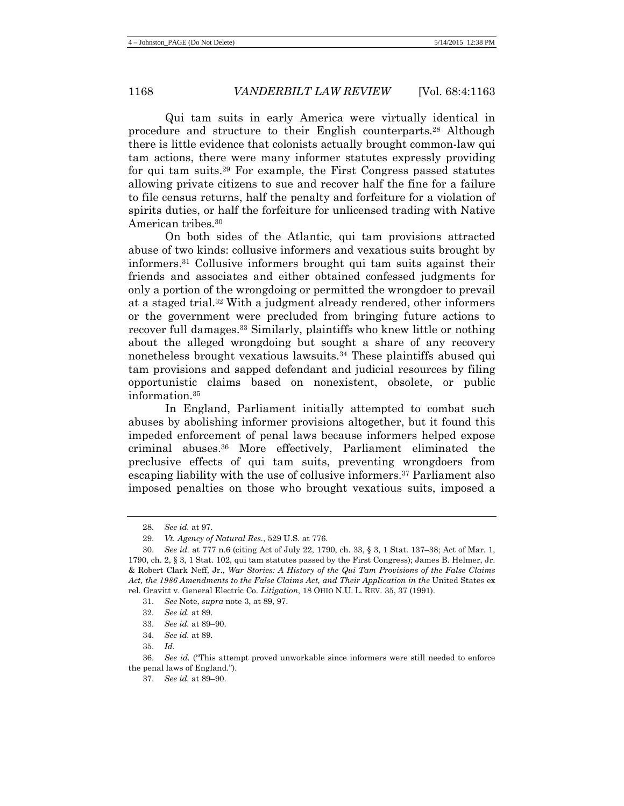Qui tam suits in early America were virtually identical in procedure and structure to their English counterparts.28 Although there is little evidence that colonists actually brought common-law qui tam actions, there were many informer statutes expressly providing for qui tam suits.29 For example, the First Congress passed statutes allowing private citizens to sue and recover half the fine for a failure to file census returns, half the penalty and forfeiture for a violation of spirits duties, or half the forfeiture for unlicensed trading with Native American tribes.30

<span id="page-5-0"></span>On both sides of the Atlantic, qui tam provisions attracted abuse of two kinds: collusive informers and vexatious suits brought by informers.31 Collusive informers brought qui tam suits against their friends and associates and either obtained confessed judgments for only a portion of the wrongdoing or permitted the wrongdoer to prevail at a staged trial.32 With a judgment already rendered, other informers or the government were precluded from bringing future actions to recover full damages.33 Similarly, plaintiffs who knew little or nothing about the alleged wrongdoing but sought a share of any recovery nonetheless brought vexatious lawsuits.34 These plaintiffs abused qui tam provisions and sapped defendant and judicial resources by filing opportunistic claims based on nonexistent, obsolete, or public information.35

In England, Parliament initially attempted to combat such abuses by abolishing informer provisions altogether, but it found this impeded enforcement of penal laws because informers helped expose criminal abuses.36 More effectively, Parliament eliminated the preclusive effects of qui tam suits, preventing wrongdoers from escaping liability with the use of collusive informers.37 Parliament also imposed penalties on those who brought vexatious suits, imposed a

31. *See* Note, *supra* not[e 3,](#page-1-0) at 89, 97.

32. *See id.* at 89.

33. *See id.* at 89–90.

- 34. *See id.* at 89.
- 35. *Id.*

36. *See id.* ("This attempt proved unworkable since informers were still needed to enforce the penal laws of England.").

37. *See id.* at 89–90.

<sup>28.</sup> *See id.* at 97.

<sup>29.</sup> *Vt. Agency of Natural Res.*, 529 U.S. at 776.

<sup>30.</sup> *See id.* at 777 n.6 (citing Act of July 22, 1790, ch. 33, § 3, 1 Stat. 137–38; Act of Mar. 1, 1790, ch. 2, § 3, 1 Stat. 102, qui tam statutes passed by the First Congress); James B. Helmer, Jr. & Robert Clark Neff, Jr., *War Stories: A History of the Qui Tam Provisions of the False Claims*  Act, the 1986 Amendments to the False Claims Act, and Their Application in the United States ex rel. Gravitt v. General Electric Co. *Litigation*, 18 OHIO N.U. L. REV. 35, 37 (1991).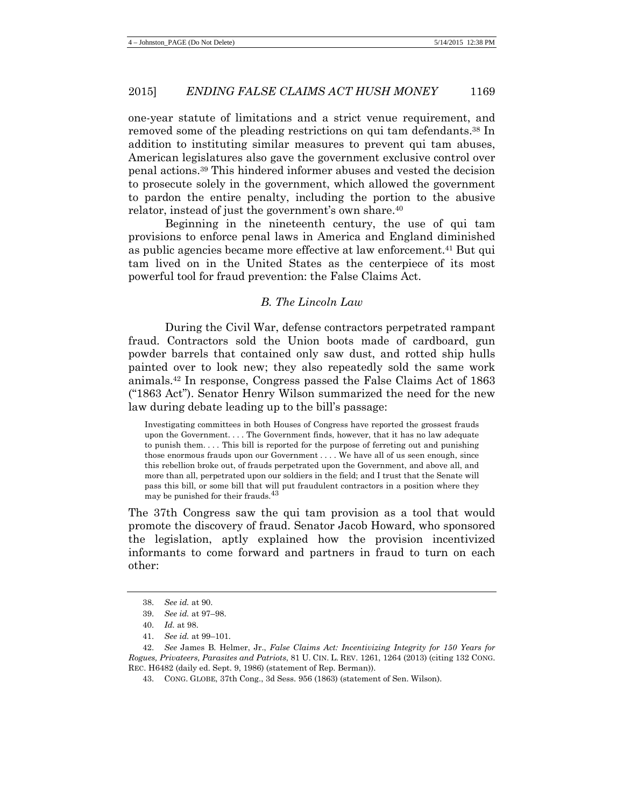one-year statute of limitations and a strict venue requirement, and removed some of the pleading restrictions on qui tam defendants.38 In addition to instituting similar measures to prevent qui tam abuses, American legislatures also gave the government exclusive control over penal actions.39 This hindered informer abuses and vested the decision to prosecute solely in the government, which allowed the government to pardon the entire penalty, including the portion to the abusive relator, instead of just the government's own share. 40

Beginning in the nineteenth century, the use of qui tam provisions to enforce penal laws in America and England diminished as public agencies became more effective at law enforcement.41 But qui tam lived on in the United States as the centerpiece of its most powerful tool for fraud prevention: the False Claims Act.

#### *B. The Lincoln Law*

During the Civil War, defense contractors perpetrated rampant fraud. Contractors sold the Union boots made of cardboard, gun powder barrels that contained only saw dust, and rotted ship hulls painted over to look new; they also repeatedly sold the same work animals.42 In response, Congress passed the False Claims Act of 1863 ("1863 Act"). Senator Henry Wilson summarized the need for the new law during debate leading up to the bill's passage:

<span id="page-6-0"></span>Investigating committees in both Houses of Congress have reported the grossest frauds upon the Government. . . . The Government finds, however, that it has no law adequate to punish them. . . . This bill is reported for the purpose of ferreting out and punishing those enormous frauds upon our Government . . . . We have all of us seen enough, since this rebellion broke out, of frauds perpetrated upon the Government, and above all, and more than all, perpetrated upon our soldiers in the field; and I trust that the Senate will pass this bill, or some bill that will put fraudulent contractors in a position where they may be punished for their frauds.43

The 37th Congress saw the qui tam provision as a tool that would promote the discovery of fraud. Senator Jacob Howard, who sponsored the legislation, aptly explained how the provision incentivized informants to come forward and partners in fraud to turn on each other:

<sup>38.</sup> *See id.* at 90.

<sup>39.</sup> *See id.* at 97–98.

<sup>40.</sup> *Id.* at 98.

<sup>41.</sup> *See id.* at 99–101.

<sup>42.</sup> *See* James B. Helmer, Jr., *False Claims Act: Incentivizing Integrity for 150 Years for Rogues, Privateers, Parasites and Patriots*, 81 U. CIN. L. REV. 1261, 1264 (2013) (citing 132 CONG. REC. H6482 (daily ed. Sept. 9, 1986) (statement of Rep. Berman)).

<sup>43.</sup> CONG. GLOBE, 37th Cong., 3d Sess. 956 (1863) (statement of Sen. Wilson).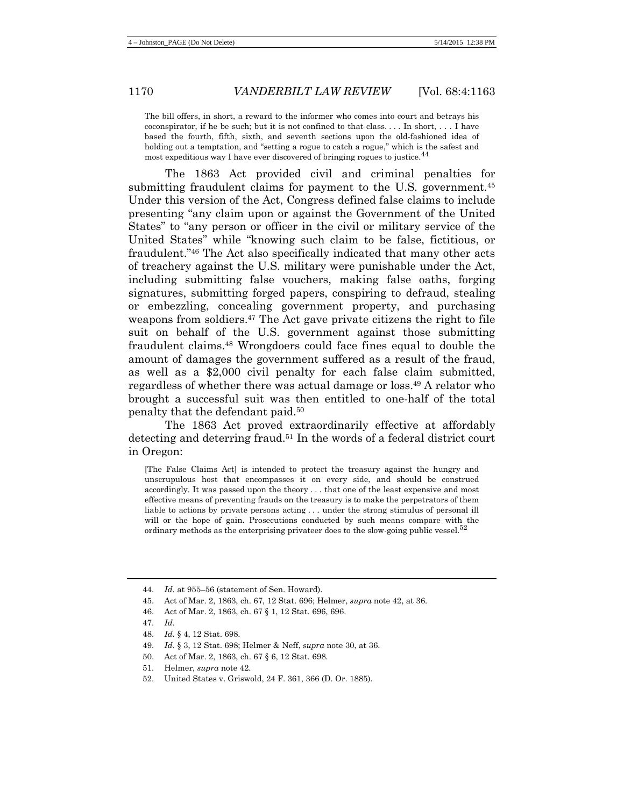The bill offers, in short, a reward to the informer who comes into court and betrays his coconspirator, if he be such; but it is not confined to that class. . . . In short, . . . I have based the fourth, fifth, sixth, and seventh sections upon the old-fashioned idea of holding out a temptation, and "setting a rogue to catch a rogue," which is the safest and most expeditious way I have ever discovered of bringing rogues to justice.44

The 1863 Act provided civil and criminal penalties for submitting fraudulent claims for payment to the U.S. government.<sup>45</sup> Under this version of the Act, Congress defined false claims to include presenting "any claim upon or against the Government of the United States" to "any person or officer in the civil or military service of the United States" while "knowing such claim to be false, fictitious, or fraudulent."46 The Act also specifically indicated that many other acts of treachery against the U.S. military were punishable under the Act, including submitting false vouchers, making false oaths, forging signatures, submitting forged papers, conspiring to defraud, stealing or embezzling, concealing government property, and purchasing weapons from soldiers.<sup>47</sup> The Act gave private citizens the right to file suit on behalf of the U.S. government against those submitting fraudulent claims.48 Wrongdoers could face fines equal to double the amount of damages the government suffered as a result of the fraud, as well as a \$2,000 civil penalty for each false claim submitted, regardless of whether there was actual damage or loss.49 A relator who brought a successful suit was then entitled to one-half of the total penalty that the defendant paid. 50

The 1863 Act proved extraordinarily effective at affordably detecting and deterring fraud.<sup>51</sup> In the words of a federal district court in Oregon:

[The False Claims Act] is intended to protect the treasury against the hungry and unscrupulous host that encompasses it on every side, and should be construed accordingly. It was passed upon the theory . . . that one of the least expensive and most effective means of preventing frauds on the treasury is to make the perpetrators of them liable to actions by private persons acting . . . under the strong stimulus of personal ill will or the hope of gain. Prosecutions conducted by such means compare with the ordinary methods as the enterprising privateer does to the slow-going public vessel.<sup>52</sup>

<sup>44.</sup> *Id.* at 955–56 (statement of Sen. Howard).

<sup>45.</sup> Act of Mar. 2, 1863, ch. 67, 12 Stat. 696; Helmer, *supra* note 42, at 36.

<sup>46.</sup> Act of Mar. 2, 1863, ch. 67 § 1, 12 Stat. 696, 696.

<sup>47.</sup> *Id*.

<sup>48.</sup> *Id.* § 4, 12 Stat. 698.

<sup>49.</sup> *Id.* § 3, 12 Stat. 698; Helmer & Neff, *supra* not[e 30,](#page-5-0) at 36.

<sup>50.</sup> Act of Mar. 2, 1863, ch. 67 § 6, 12 Stat. 698.

<sup>51.</sup> Helmer, *supra* note 42.

<sup>52.</sup> United States v. Griswold, 24 F. 361, 366 (D. Or. 1885).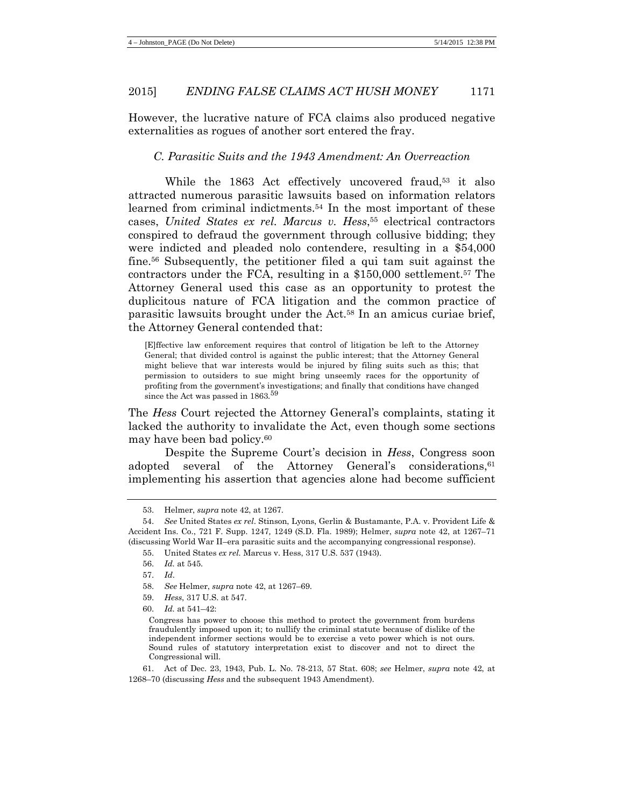However, the lucrative nature of FCA claims also produced negative externalities as rogues of another sort entered the fray.

#### *C. Parasitic Suits and the 1943 Amendment: An Overreaction*

While the 1863 Act effectively uncovered fraud,<sup>53</sup> it also attracted numerous parasitic lawsuits based on information relators learned from criminal indictments.<sup>54</sup> In the most important of these cases, *United States ex rel. Marcus v. Hess*, <sup>55</sup> electrical contractors conspired to defraud the government through collusive bidding; they were indicted and pleaded nolo contendere, resulting in a \$54,000 fine.56 Subsequently, the petitioner filed a qui tam suit against the contractors under the FCA, resulting in a \$150,000 settlement.57 The Attorney General used this case as an opportunity to protest the duplicitous nature of FCA litigation and the common practice of parasitic lawsuits brought under the Act.58 In an amicus curiae brief, the Attorney General contended that:

[E]ffective law enforcement requires that control of litigation be left to the Attorney General; that divided control is against the public interest; that the Attorney General might believe that war interests would be injured by filing suits such as this; that permission to outsiders to sue might bring unseemly races for the opportunity of profiting from the government's investigations; and finally that conditions have changed since the Act was passed in 1863.<sup>59</sup>

The *Hess* Court rejected the Attorney General's complaints, stating it lacked the authority to invalidate the Act, even though some sections may have been bad policy.60

Despite the Supreme Court's decision in *Hess*, Congress soon adopted several of the Attorney General's considerations, <sup>61</sup> implementing his assertion that agencies alone had become sufficient

61. Act of Dec. 23, 1943, Pub. L. No. 78-213, 57 Stat. 608; *see* Helmer, *supra* note [42,](#page-6-0) at 1268–70 (discussing *Hess* and the subsequent 1943 Amendment).

<sup>53.</sup> Helmer, *supra* note [42,](#page-6-0) at 1267.

<sup>54.</sup> *See* United States *ex rel*. Stinson, Lyons, Gerlin & Bustamante, P.A. v. Provident Life & Accident Ins. Co., 721 F. Supp. 1247*,* 1249 (S.D. Fla. 1989); Helmer, *supra* note 42, at 1267–71 (discussing World War II–era parasitic suits and the accompanying congressional response).

<sup>55.</sup> United States *ex rel.* Marcus v. Hess, 317 U.S. 537 (1943).

<sup>56.</sup> *Id.* at 545.

<sup>57.</sup> *Id*.

<sup>58.</sup> *See* Helmer, *supra* note 42, at 1267–69.

<sup>59.</sup> *Hess*, 317 U.S. at 547.

<sup>60.</sup> *Id.* at 541–42:

Congress has power to choose this method to protect the government from burdens fraudulently imposed upon it; to nullify the criminal statute because of dislike of the independent informer sections would be to exercise a veto power which is not ours. Sound rules of statutory interpretation exist to discover and not to direct the Congressional will.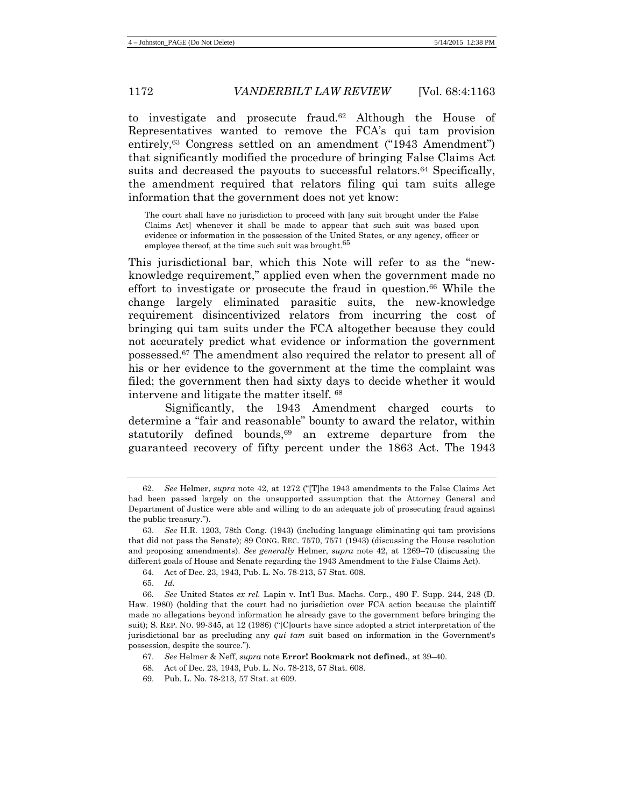to investigate and prosecute fraud.62 Although the House of Representatives wanted to remove the FCA's qui tam provision entirely,63 Congress settled on an amendment ("1943 Amendment") that significantly modified the procedure of bringing False Claims Act suits and decreased the payouts to successful relators.<sup>64</sup> Specifically, the amendment required that relators filing qui tam suits allege information that the government does not yet know:

The court shall have no jurisdiction to proceed with [any suit brought under the False Claims Act] whenever it shall be made to appear that such suit was based upon evidence or information in the possession of the United States, or any agency, officer or employee thereof, at the time such suit was brought.<sup>65</sup>

This jurisdictional bar, which this Note will refer to as the "newknowledge requirement," applied even when the government made no effort to investigate or prosecute the fraud in question.66 While the change largely eliminated parasitic suits, the new-knowledge requirement disincentivized relators from incurring the cost of bringing qui tam suits under the FCA altogether because they could not accurately predict what evidence or information the government possessed. <sup>67</sup> The amendment also required the relator to present all of his or her evidence to the government at the time the complaint was filed; the government then had sixty days to decide whether it would intervene and litigate the matter itself. 68

Significantly, the 1943 Amendment charged courts to determine a "fair and reasonable" bounty to award the relator, within statutorily defined bounds, $69$  an extreme departure from the guaranteed recovery of fifty percent under the 1863 Act. The 1943

<sup>62.</sup> *See* Helmer, *supra* note [42,](#page-6-0) at 1272 ("[T]he 1943 amendments to the False Claims Act had been passed largely on the unsupported assumption that the Attorney General and Department of Justice were able and willing to do an adequate job of prosecuting fraud against the public treasury.").

<sup>63.</sup> *See* H.R. 1203, 78th Cong. (1943) (including language eliminating qui tam provisions that did not pass the Senate); 89 CONG. REC. 7570, 7571 (1943) (discussing the House resolution and proposing amendments). *See generally* Helmer, *supra* note [42,](#page-6-0) at 1269–70 (discussing the different goals of House and Senate regarding the 1943 Amendment to the False Claims Act).

<sup>64.</sup> Act of Dec. 23, 1943, Pub. L. No. 78-213, 57 Stat. 608.

<sup>65.</sup> *Id.*

<sup>66</sup>*. See* United States *ex rel.* Lapin v. Int'l Bus. Machs. Corp*.*, 490 F. Supp. 244, 248 (D. Haw. 1980) (holding that the court had no jurisdiction over FCA action because the plaintiff made no allegations beyond information he already gave to the government before bringing the suit); S. REP. NO. 99-345, at 12 (1986) ("[C]ourts have since adopted a strict interpretation of the jurisdictional bar as precluding any *qui tam* suit based on information in the Government's possession, despite the source.").

<sup>67.</sup> *See* Helmer & Neff, *supra* note **Error! Bookmark not defined.**, at 39–40.

<sup>68.</sup> Act of Dec. 23, 1943, Pub. L. No. 78-213, 57 Stat. 608.

<sup>69.</sup> Pub. L. No. 78-213, 57 Stat. at 609.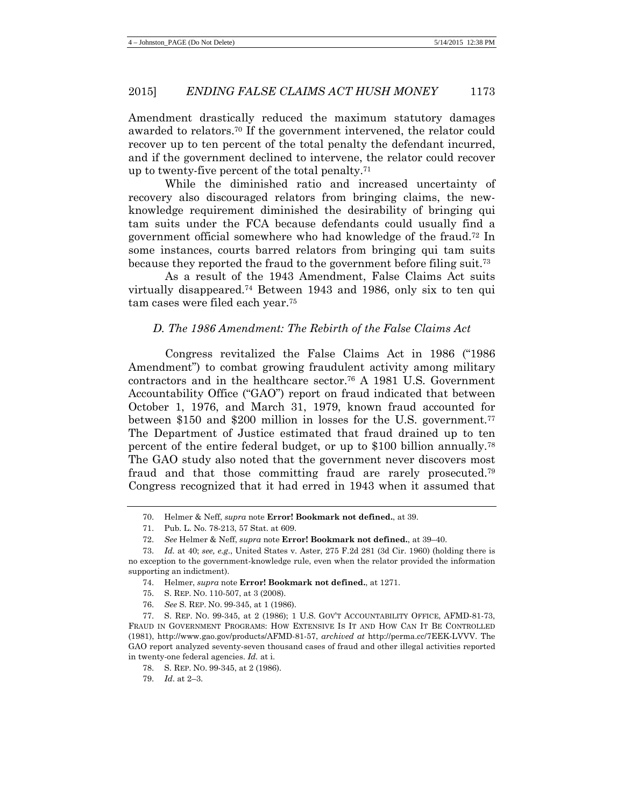Amendment drastically reduced the maximum statutory damages awarded to relators.70 If the government intervened, the relator could recover up to ten percent of the total penalty the defendant incurred, and if the government declined to intervene, the relator could recover up to twenty-five percent of the total penalty.71

While the diminished ratio and increased uncertainty of recovery also discouraged relators from bringing claims, the newknowledge requirement diminished the desirability of bringing qui tam suits under the FCA because defendants could usually find a government official somewhere who had knowledge of the fraud.72 In some instances, courts barred relators from bringing qui tam suits because they reported the fraud to the government before filing suit.<sup>73</sup>

As a result of the 1943 Amendment, False Claims Act suits virtually disappeared.74 Between 1943 and 1986, only six to ten qui tam cases were filed each year.75

# *D. The 1986 Amendment: The Rebirth of the False Claims Act*

Congress revitalized the False Claims Act in 1986 ("1986 Amendment") to combat growing fraudulent activity among military contractors and in the healthcare sector.76 A 1981 U.S. Government Accountability Office ("GAO") report on fraud indicated that between October 1, 1976, and March 31, 1979, known fraud accounted for between \$150 and \$200 million in losses for the U.S. government.<sup>77</sup> The Department of Justice estimated that fraud drained up to ten percent of the entire federal budget, or up to \$100 billion annually.78 The GAO study also noted that the government never discovers most fraud and that those committing fraud are rarely prosecuted.79 Congress recognized that it had erred in 1943 when it assumed that

- 74. Helmer, *supra* note **Error! Bookmark not defined.**, at 1271.
- 75. S. REP. NO. 110-507, at 3 (2008).
- 76. *See* S. REP. NO. 99-345, at 1 (1986).

77. S. REP. NO. 99-345, at 2 (1986); 1 U.S. GOV'T ACCOUNTABILITY OFFICE, AFMD-81-73, FRAUD IN GOVERNMENT PROGRAMS: HOW EXTENSIVE IS IT AND HOW CAN IT BE CONTROLLED (1981), [http://www.gao.gov/products/AFMD-81-57,](http://www.gao.gov/products/AFMD-81-57) *archived at* http://perma.cc/7EEK-LVVV. The GAO report analyzed seventy-seven thousand cases of fraud and other illegal activities reported in twenty-one federal agencies. *Id.* at i.

- 78. S. REP. NO. 99-345, at 2 (1986).
- 79. *Id*. at 2–3.

<sup>70.</sup> Helmer & Neff, *supra* note **Error! Bookmark not defined.**, at 39.

<sup>71.</sup> Pub. L. No. 78-213, 57 Stat. at 609.

<sup>72.</sup> *See* Helmer & Neff, *supra* note **Error! Bookmark not defined.**, at 39–40.

<sup>73.</sup> *Id.* at 40; *see, e.g*., United States v. Aster, 275 F.2d 281 (3d Cir. 1960) (holding there is no exception to the government-knowledge rule, even when the relator provided the information supporting an indictment).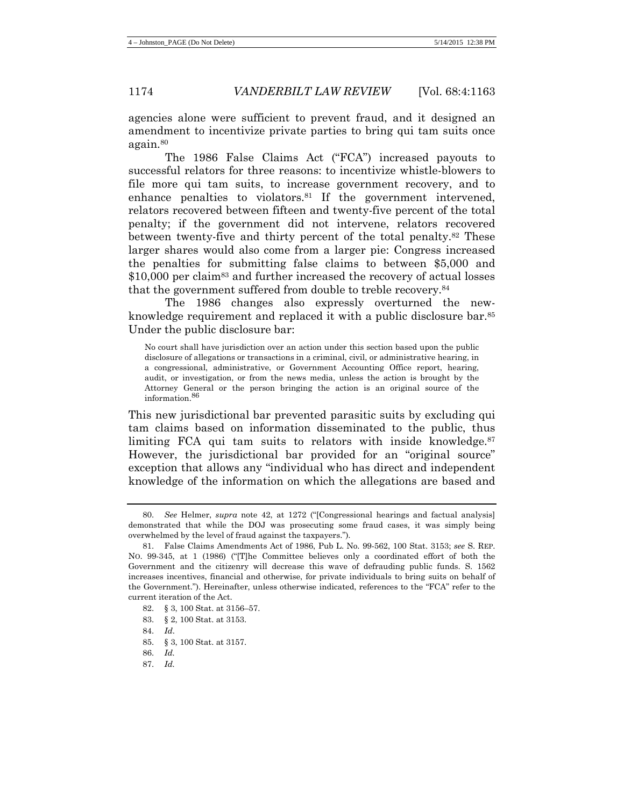agencies alone were sufficient to prevent fraud, and it designed an amendment to incentivize private parties to bring qui tam suits once again.80

The 1986 False Claims Act ("FCA") increased payouts to successful relators for three reasons: to incentivize whistle-blowers to file more qui tam suits, to increase government recovery, and to enhance penalties to violators.<sup>81</sup> If the government intervened, relators recovered between fifteen and twenty-five percent of the total penalty; if the government did not intervene, relators recovered between twenty-five and thirty percent of the total penalty.82 These larger shares would also come from a larger pie: Congress increased the penalties for submitting false claims to between \$5,000 and \$10,000 per claim<sup>83</sup> and further increased the recovery of actual losses that the government suffered from double to treble recovery.84

The 1986 changes also expressly overturned the newknowledge requirement and replaced it with a public disclosure bar.<sup>85</sup> Under the public disclosure bar:

No court shall have jurisdiction over an action under this section based upon the public disclosure of allegations or transactions in a criminal, civil, or administrative hearing, in a congressional, administrative, or Government Accounting Office report, hearing, audit, or investigation, or from the news media, unless the action is brought by the Attorney General or the person bringing the action is an original source of the information.86

This new jurisdictional bar prevented parasitic suits by excluding qui tam claims based on information disseminated to the public, thus limiting FCA qui tam suits to relators with inside knowledge.<sup>87</sup> However, the jurisdictional bar provided for an "original source" exception that allows any "individual who has direct and independent knowledge of the information on which the allegations are based and

83. § 2, 100 Stat. at 3153.

- 85. § 3, 100 Stat. at 3157.
- 86. *Id.*
- 87. *Id.*

<sup>80.</sup> *See* Helmer, *supra* note [42,](#page-6-0) at 1272 ("[Congressional hearings and factual analysis] demonstrated that while the DOJ was prosecuting some fraud cases, it was simply being overwhelmed by the level of fraud against the taxpayers.").

<sup>81.</sup> False Claims Amendments Act of 1986, Pub L. No. 99-562, 100 Stat. 3153; *see* S. REP. NO. 99-345, at 1 (1986) ("[T]he Committee believes only a coordinated effort of both the Government and the citizenry will decrease this wave of defrauding public funds. S. 1562 increases incentives, financial and otherwise, for private individuals to bring suits on behalf of the Government."). Hereinafter, unless otherwise indicated, references to the "FCA" refer to the current iteration of the Act.

<sup>82.</sup> § 3, 100 Stat. at 3156–57.

<sup>84.</sup> *Id*.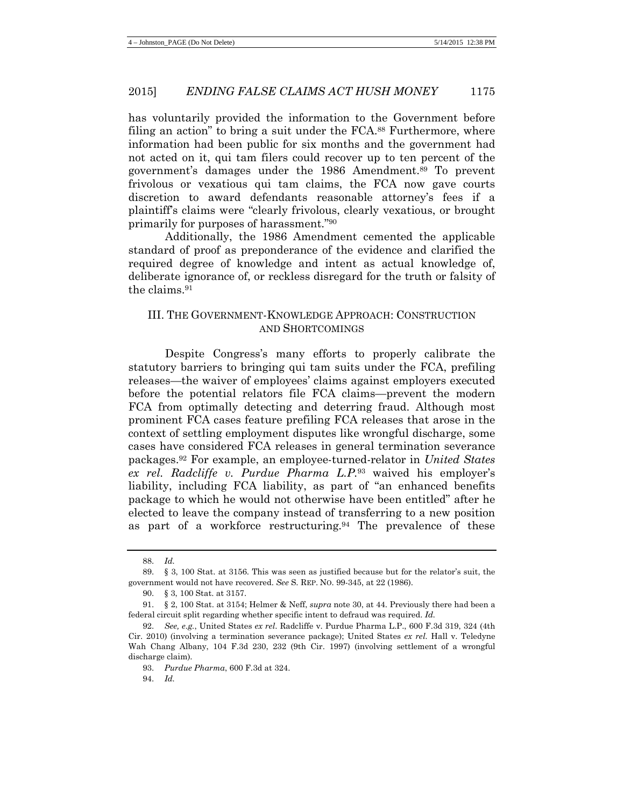has voluntarily provided the information to the Government before filing an action" to bring a suit under the FCA.<sup>88</sup> Furthermore, where information had been public for six months and the government had not acted on it, qui tam filers could recover up to ten percent of the government's damages under the 1986 Amendment.89 To prevent frivolous or vexatious qui tam claims, the FCA now gave courts discretion to award defendants reasonable attorney's fees if a plaintiff's claims were "clearly frivolous, clearly vexatious, or brought primarily for purposes of harassment."90

Additionally, the 1986 Amendment cemented the applicable standard of proof as preponderance of the evidence and clarified the required degree of knowledge and intent as actual knowledge of, deliberate ignorance of, or reckless disregard for the truth or falsity of the claims.91

### III. THE GOVERNMENT-KNOWLEDGE APPROACH: CONSTRUCTION AND SHORTCOMINGS

Despite Congress's many efforts to properly calibrate the statutory barriers to bringing qui tam suits under the FCA, prefiling releases—the waiver of employees' claims against employers executed before the potential relators file FCA claims—prevent the modern FCA from optimally detecting and deterring fraud. Although most prominent FCA cases feature prefiling FCA releases that arose in the context of settling employment disputes like wrongful discharge, some cases have considered FCA releases in general termination severance packages.92 For example, an employee-turned-relator in *United States ex rel. Radcliffe v. Purdue Pharma L.P.*<sup>93</sup> waived his employer's liability, including FCA liability, as part of "an enhanced benefits package to which he would not otherwise have been entitled" after he elected to leave the company instead of transferring to a new position as part of a workforce restructuring.94 The prevalence of these

<sup>88.</sup> *Id.*

<sup>89.</sup> § 3, 100 Stat. at 3156. This was seen as justified because but for the relator's suit, the government would not have recovered. *See* S. REP. NO. 99-345, at 22 (1986).

<sup>90.</sup> § 3, 100 Stat. at 3157.

<sup>91.</sup> § 2, 100 Stat. at 3154; Helmer & Neff, *supra* note [30,](#page-5-0) at 44. Previously there had been a federal circuit split regarding whether specific intent to defraud was required. *Id.*

<sup>92.</sup> *See, e.g.*, United States *ex rel*. Radcliffe v. Purdue Pharma L.P., 600 F.3d 319, 324 (4th Cir. 2010) (involving a termination severance package); United States *ex rel.* Hall v. Teledyne Wah Chang Albany, 104 F.3d 230, 232 (9th Cir. 1997) (involving settlement of a wrongful discharge claim).

<sup>93.</sup> *Purdue Pharma*, 600 F.3d at 324.

<sup>94.</sup> *Id.*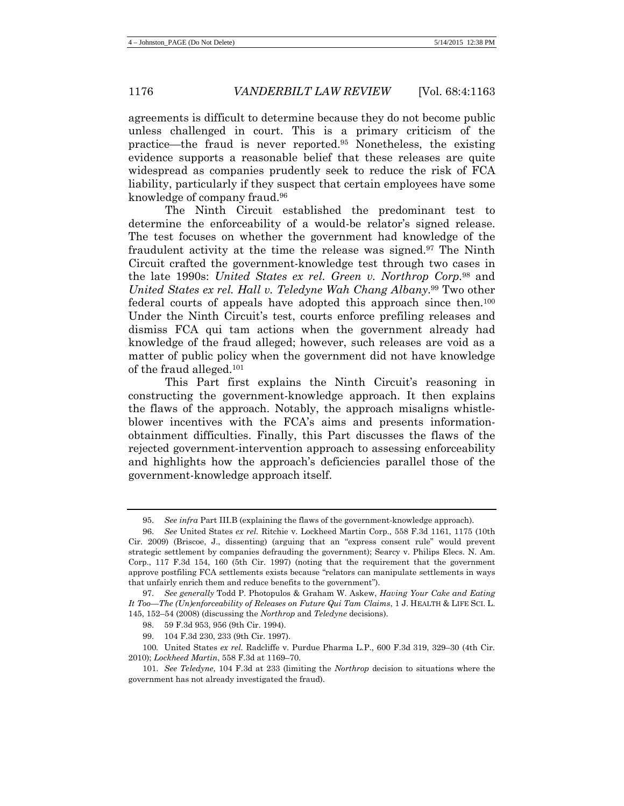agreements is difficult to determine because they do not become public unless challenged in court. This is a primary criticism of the practice—the fraud is never reported.95 Nonetheless, the existing evidence supports a reasonable belief that these releases are quite widespread as companies prudently seek to reduce the risk of FCA liability, particularly if they suspect that certain employees have some knowledge of company fraud.96

The Ninth Circuit established the predominant test to determine the enforceability of a would-be relator's signed release. The test focuses on whether the government had knowledge of the fraudulent activity at the time the release was signed.97 The Ninth Circuit crafted the government-knowledge test through two cases in the late 1990s: *United States ex rel. Green v. Northrop Corp.*<sup>98</sup> and *United States ex rel. Hall v. Teledyne Wah Chang Albany*.99 Two other federal courts of appeals have adopted this approach since then.100 Under the Ninth Circuit's test, courts enforce prefiling releases and dismiss FCA qui tam actions when the government already had knowledge of the fraud alleged; however, such releases are void as a matter of public policy when the government did not have knowledge of the fraud alleged.101

This Part first explains the Ninth Circuit's reasoning in constructing the government-knowledge approach. It then explains the flaws of the approach. Notably, the approach misaligns whistleblower incentives with the FCA's aims and presents informationobtainment difficulties. Finally, this Part discusses the flaws of the rejected government-intervention approach to assessing enforceability and highlights how the approach's deficiencies parallel those of the government-knowledge approach itself.

<sup>95.</sup> *See infra* Part III.B (explaining the flaws of the government-knowledge approach).

<sup>96.</sup> *See* United States *ex rel.* Ritchie v. Lockheed Martin Corp., 558 F.3d 1161, 1175 (10th Cir. 2009) (Briscoe, J., dissenting) (arguing that an "express consent rule" would prevent strategic settlement by companies defrauding the government); Searcy v. Philips Elecs. N. Am. Corp., 117 F.3d 154, 160 (5th Cir. 1997) (noting that the requirement that the government approve postfiling FCA settlements exists because "relators can manipulate settlements in ways that unfairly enrich them and reduce benefits to the government").

<sup>97.</sup> *See generally* Todd P. Photopulos & Graham W. Askew, *Having Your Cake and Eating It Too—The (Un)enforceability of Releases on Future Qui Tam Claims*, 1 J. HEALTH & LIFE SCI. L. 145, 152–54 (2008) (discussing the *Northrop* and *Teledyne* decisions).

<sup>98.</sup> 59 F.3d 953, 956 (9th Cir. 1994).

<sup>99.</sup> 104 F.3d 230, 233 (9th Cir. 1997).

<sup>100</sup>*.* United States *ex rel.* Radcliffe v. Purdue Pharma L.P., 600 F.3d 319, 329–30 (4th Cir. 2010); *Lockheed Martin*, 558 F.3d at 1169–70.

<sup>101.</sup> *See Teledyne*, 104 F.3d at 233 (limiting the *Northrop* decision to situations where the government has not already investigated the fraud).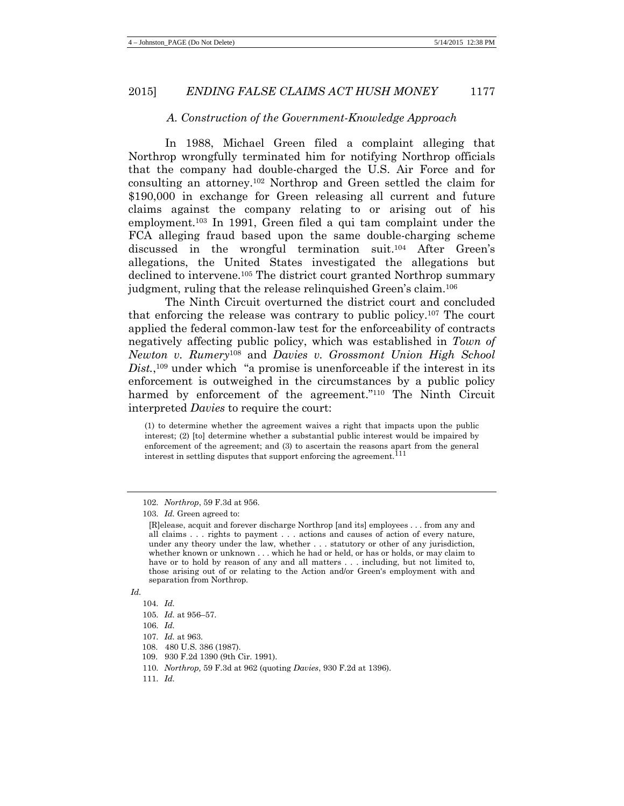#### *A. Construction of the Government-Knowledge Approach*

In 1988, Michael Green filed a complaint alleging that Northrop wrongfully terminated him for notifying Northrop officials that the company had double-charged the U.S. Air Force and for consulting an attorney.102 Northrop and Green settled the claim for \$190,000 in exchange for Green releasing all current and future claims against the company relating to or arising out of his employment.103 In 1991, Green filed a qui tam complaint under the FCA alleging fraud based upon the same double-charging scheme discussed in the wrongful termination suit.104 After Green's allegations, the United States investigated the allegations but declined to intervene.105 The district court granted Northrop summary judgment, ruling that the release relinquished Green's claim.106

The Ninth Circuit overturned the district court and concluded that enforcing the release was contrary to public policy.107 The court applied the federal common-law test for the enforceability of contracts negatively affecting public policy, which was established in *Town of Newton v. Rumery*<sup>108</sup> and *Davies v. Grossmont Union High School*  Dist.,<sup>109</sup> under which "a promise is unenforceable if the interest in its enforcement is outweighed in the circumstances by a public policy harmed by enforcement of the agreement."<sup>110</sup> The Ninth Circuit interpreted *Davies* to require the court:

(1) to determine whether the agreement waives a right that impacts upon the public interest; (2) [to] determine whether a substantial public interest would be impaired by enforcement of the agreement; and (3) to ascertain the reasons apart from the general interest in settling disputes that support enforcing the agreement.<sup>111</sup>

105. *Id.* at 956–57.

- 110. *Northrop,* 59 F.3d at 962 (quoting *Davies*, 930 F.2d at 1396).
- 111. *Id.*

<sup>102.</sup> *Northrop*, 59 F.3d at 956.

<sup>103.</sup> *Id.* Green agreed to:

<sup>[</sup>R]elease, acquit and forever discharge Northrop [and its] employees . . . from any and all claims . . . rights to payment . . . actions and causes of action of every nature, under any theory under the law, whether . . . statutory or other of any jurisdiction, whether known or unknown . . . which he had or held, or has or holds, or may claim to have or to hold by reason of any and all matters . . . including, but not limited to, those arising out of or relating to the Action and/or Green's employment with and separation from Northrop.

*Id.*

<sup>104.</sup> *Id.*

<sup>106.</sup> *Id.*

<sup>107.</sup> *Id.* at 963.

 <sup>108. 480</sup> U.S. 386 (1987).

 <sup>109. 930</sup> F.2d 1390 (9th Cir. 1991).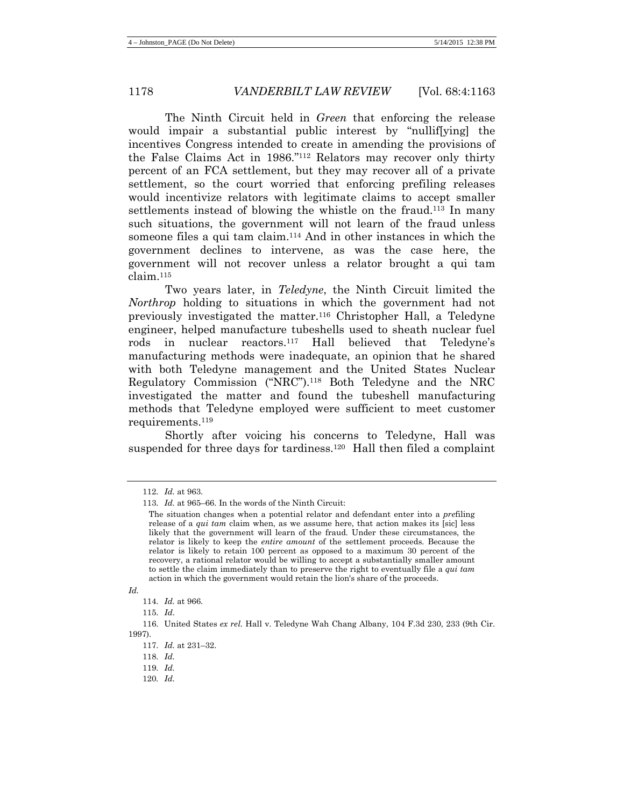The Ninth Circuit held in *Green* that enforcing the release would impair a substantial public interest by "nullif[ying] the incentives Congress intended to create in amending the provisions of the False Claims Act in 1986."112 Relators may recover only thirty percent of an FCA settlement, but they may recover all of a private settlement, so the court worried that enforcing prefiling releases would incentivize relators with legitimate claims to accept smaller settlements instead of blowing the whistle on the fraud.113 In many such situations, the government will not learn of the fraud unless someone files a qui tam claim.<sup>114</sup> And in other instances in which the government declines to intervene, as was the case here, the government will not recover unless a relator brought a qui tam claim.115

Two years later, in *Teledyne*, the Ninth Circuit limited the *Northrop* holding to situations in which the government had not previously investigated the matter.116 Christopher Hall, a Teledyne engineer, helped manufacture tubeshells used to sheath nuclear fuel rods in nuclear reactors.117 Hall believed that Teledyne's manufacturing methods were inadequate, an opinion that he shared with both Teledyne management and the United States Nuclear Regulatory Commission ("NRC").118 Both Teledyne and the NRC investigated the matter and found the tubeshell manufacturing methods that Teledyne employed were sufficient to meet customer requirements.119

Shortly after voicing his concerns to Teledyne, Hall was suspended for three days for tardiness.120 Hall then filed a complaint

120*. Id.*

<sup>112.</sup> *Id.* at 963.

<sup>113.</sup> *Id.* at 965–66. In the words of the Ninth Circuit:

The situation changes when a potential relator and defendant enter into a *pre*filing release of a *qui tam* claim when, as we assume here, that action makes its [sic] less likely that the government will learn of the fraud. Under these circumstances, the relator is likely to keep the *entire amount* of the settlement proceeds. Because the relator is likely to retain 100 percent as opposed to a maximum 30 percent of the recovery, a rational relator would be willing to accept a substantially smaller amount to settle the claim immediately than to preserve the right to eventually file a *qui tam* action in which the government would retain the lion's share of the proceeds.

*Id.*

<sup>114.</sup> *Id.* at 966.

<sup>115.</sup> *Id*.

<sup>116.</sup> United States *ex rel.* Hall v. Teledyne Wah Chang Albany, 104 F.3d 230, 233 (9th Cir. 1997).

<sup>117.</sup> *Id.* at 231–32.

<sup>118.</sup> *Id.* 

<sup>119.</sup> *Id.*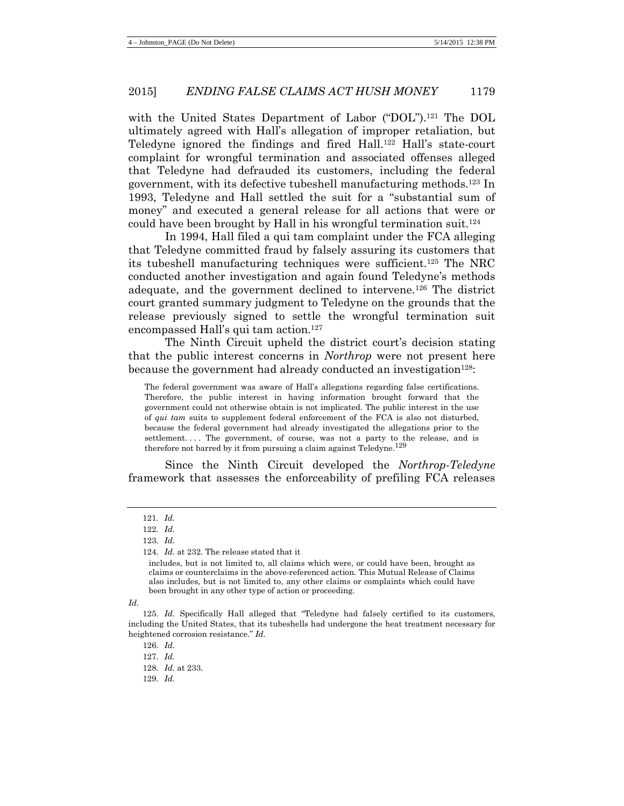with the United States Department of Labor ("DOL").121 The DOL ultimately agreed with Hall's allegation of improper retaliation, but Teledyne ignored the findings and fired Hall.122 Hall's state-court complaint for wrongful termination and associated offenses alleged that Teledyne had defrauded its customers, including the federal government, with its defective tubeshell manufacturing methods.123 In 1993, Teledyne and Hall settled the suit for a "substantial sum of money" and executed a general release for all actions that were or could have been brought by Hall in his wrongful termination suit.124

In 1994, Hall filed a qui tam complaint under the FCA alleging that Teledyne committed fraud by falsely assuring its customers that its tubeshell manufacturing techniques were sufficient.125 The NRC conducted another investigation and again found Teledyne's methods adequate, and the government declined to intervene.126 The district court granted summary judgment to Teledyne on the grounds that the release previously signed to settle the wrongful termination suit encompassed Hall's qui tam action.<sup>127</sup>

The Ninth Circuit upheld the district court's decision stating that the public interest concerns in *Northrop* were not present here because the government had already conducted an investigation<sup>128</sup>:

The federal government was aware of Hall's allegations regarding false certifications. Therefore, the public interest in having information brought forward that the government could not otherwise obtain is not implicated. The public interest in the use of *qui tam* suits to supplement federal enforcement of the FCA is also not disturbed, because the federal government had already investigated the allegations prior to the settlement. . . . The government, of course, was not a party to the release, and is therefore not barred by it from pursuing a claim against Teledyne.<sup>129</sup>

Since the Ninth Circuit developed the *Northrop-Teledyne* framework that assesses the enforceability of prefiling FCA releases

*Id*.

125. *Id.* Specifically Hall alleged that "Teledyne had falsely certified to its customers, including the United States, that its tubeshells had undergone the heat treatment necessary for heightened corrosion resistance." *Id.*

126. *Id.*

129. *Id.*

<sup>121.</sup> *Id.*

<sup>122.</sup> *Id.*

<sup>123.</sup> *Id.*

<sup>124.</sup> *Id.* at 232. The release stated that it

includes, but is not limited to, all claims which were, or could have been, brought as claims or counterclaims in the above-referenced action. This Mutual Release of Claims also includes, but is not limited to, any other claims or complaints which could have been brought in any other type of action or proceeding.

<sup>127.</sup> *Id.*

<sup>128.</sup> *Id.* at 233.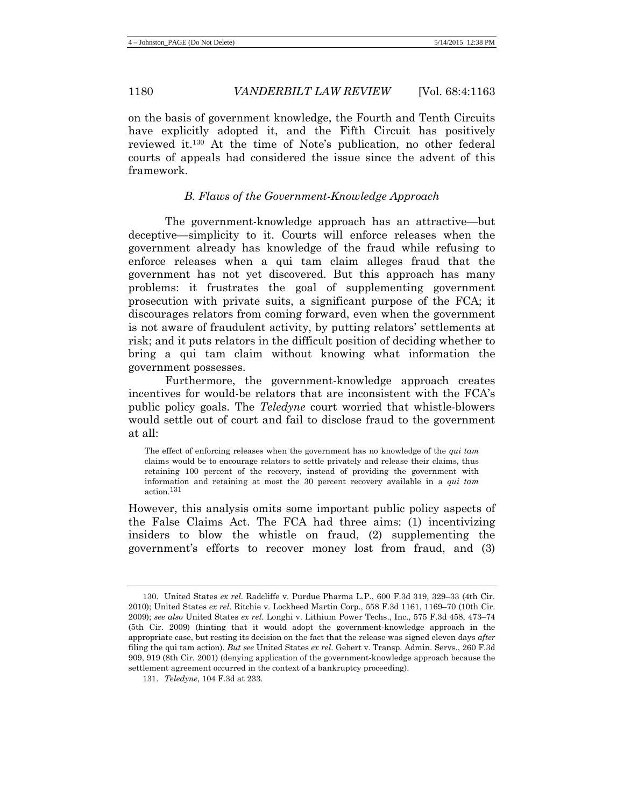on the basis of government knowledge, the Fourth and Tenth Circuits have explicitly adopted it, and the Fifth Circuit has positively reviewed it. <sup>130</sup> At the time of Note's publication, no other federal courts of appeals had considered the issue since the advent of this framework.

## *B. Flaws of the Government-Knowledge Approach*

The government-knowledge approach has an attractive—but deceptive—simplicity to it. Courts will enforce releases when the government already has knowledge of the fraud while refusing to enforce releases when a qui tam claim alleges fraud that the government has not yet discovered. But this approach has many problems: it frustrates the goal of supplementing government prosecution with private suits, a significant purpose of the FCA; it discourages relators from coming forward, even when the government is not aware of fraudulent activity, by putting relators' settlements at risk; and it puts relators in the difficult position of deciding whether to bring a qui tam claim without knowing what information the government possesses.

Furthermore, the government-knowledge approach creates incentives for would-be relators that are inconsistent with the FCA's public policy goals. The *Teledyne* court worried that whistle-blowers would settle out of court and fail to disclose fraud to the government at all:

The effect of enforcing releases when the government has no knowledge of the *qui tam* claims would be to encourage relators to settle privately and release their claims, thus retaining 100 percent of the recovery, instead of providing the government with information and retaining at most the 30 percent recovery available in a *qui tam* action.131

However, this analysis omits some important public policy aspects of the False Claims Act. The FCA had three aims: (1) incentivizing insiders to blow the whistle on fraud, (2) supplementing the government's efforts to recover money lost from fraud, and (3)

<sup>130.</sup> United States *ex rel*. Radcliffe v. Purdue Pharma L.P., 600 F.3d 319, 329–33 (4th Cir. 2010); United States *ex rel*. Ritchie v. Lockheed Martin Corp., 558 F.3d 1161, 1169–70 (10th Cir. 2009); *see also* United States *ex rel*. Longhi v. Lithium Power Techs., Inc., 575 F.3d 458, 473–74 (5th Cir. 2009) (hinting that it would adopt the government-knowledge approach in the appropriate case, but resting its decision on the fact that the release was signed eleven days *after* filing the qui tam action). *But see* United States *ex rel*. Gebert v. Transp. Admin. Servs., 260 F.3d 909, 919 (8th Cir. 2001) (denying application of the government-knowledge approach because the settlement agreement occurred in the context of a bankruptcy proceeding).

<sup>131.</sup> *Teledyne*, 104 F.3d at 233.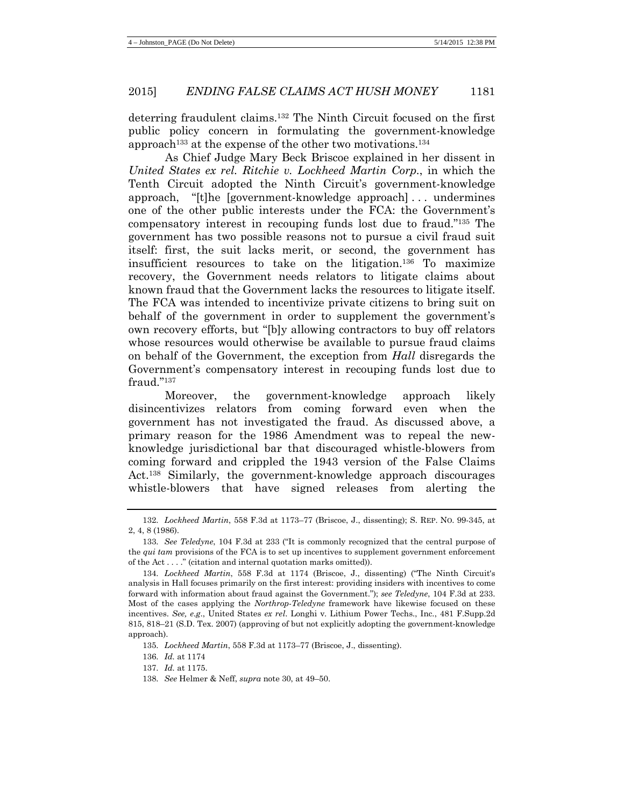deterring fraudulent claims.132 The Ninth Circuit focused on the first public policy concern in formulating the government-knowledge approach<sup>133</sup> at the expense of the other two motivations.<sup>134</sup>

As Chief Judge Mary Beck Briscoe explained in her dissent in *United States ex rel. Ritchie v. Lockheed Martin Corp.*, in which the Tenth Circuit adopted the Ninth Circuit's government-knowledge approach, "[t]he [government-knowledge approach] . . . undermines one of the other public interests under the FCA: the Government's compensatory interest in recouping funds lost due to fraud."135 The government has two possible reasons not to pursue a civil fraud suit itself: first, the suit lacks merit, or second, the government has insufficient resources to take on the litigation.136 To maximize recovery, the Government needs relators to litigate claims about known fraud that the Government lacks the resources to litigate itself. The FCA was intended to incentivize private citizens to bring suit on behalf of the government in order to supplement the government's own recovery efforts, but "[b]y allowing contractors to buy off relators whose resources would otherwise be available to pursue fraud claims on behalf of the Government, the exception from *Hall* disregards the Government's compensatory interest in recouping funds lost due to fraud."137

Moreover, the government-knowledge approach likely disincentivizes relators from coming forward even when the government has not investigated the fraud. As discussed above, a primary reason for the 1986 Amendment was to repeal the newknowledge jurisdictional bar that discouraged whistle-blowers from coming forward and crippled the 1943 version of the False Claims Act.138 Similarly, the government-knowledge approach discourages whistle-blowers that have signed releases from alerting the

<sup>132.</sup> *Lockheed Martin*, 558 F.3d at 1173–77 (Briscoe, J., dissenting); S. REP. NO. 99-345, at 2, 4, 8 (1986).

<sup>133.</sup> *See Teledyne*, 104 F.3d at 233 ("It is commonly recognized that the central purpose of the *qui tam* provisions of the FCA is to set up incentives to supplement government enforcement of the Act . . . ." (citation and internal quotation marks omitted)).

<sup>134.</sup> *Lockheed Martin*, 558 F.3d at 1174 (Briscoe, J., dissenting) ("The Ninth Circuit's analysis in Hall focuses primarily on the first interest: providing insiders with incentives to come forward with information about fraud against the Government."); *see Teledyne*, 104 F.3d at 233. Most of the cases applying the *Northrop*-*Teledyne* framework have likewise focused on these incentives. *See, e.g*., United States *ex rel*. Longhi v. Lithium Power Techs., Inc., 481 F.Supp.2d 815, 818–21 (S.D. Tex. 2007) (approving of but not explicitly adopting the government-knowledge approach).

<sup>135.</sup> *Lockheed Martin*, 558 F.3d at 1173–77 (Briscoe, J., dissenting).

<sup>136.</sup> *Id.* at 1174

<sup>137.</sup> *Id.* at 1175.

<sup>138.</sup> *See* Helmer & Neff, *supra* note 30, at 49–50.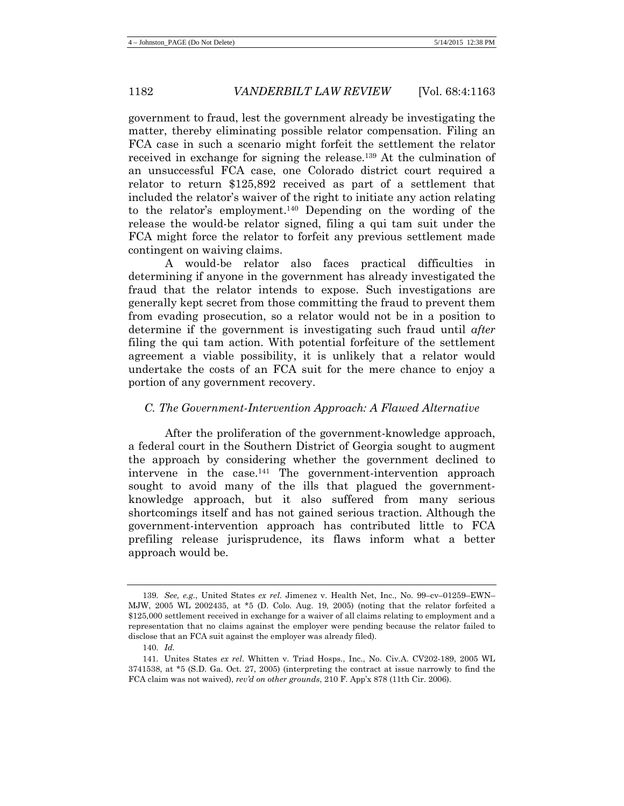government to fraud, lest the government already be investigating the matter, thereby eliminating possible relator compensation. Filing an FCA case in such a scenario might forfeit the settlement the relator received in exchange for signing the release.139 At the culmination of an unsuccessful FCA case, one Colorado district court required a relator to return \$125,892 received as part of a settlement that included the relator's waiver of the right to initiate any action relating to the relator's employment.140 Depending on the wording of the release the would-be relator signed, filing a qui tam suit under the FCA might force the relator to forfeit any previous settlement made contingent on waiving claims.

A would-be relator also faces practical difficulties in determining if anyone in the government has already investigated the fraud that the relator intends to expose. Such investigations are generally kept secret from those committing the fraud to prevent them from evading prosecution, so a relator would not be in a position to determine if the government is investigating such fraud until *after* filing the qui tam action. With potential forfeiture of the settlement agreement a viable possibility, it is unlikely that a relator would undertake the costs of an FCA suit for the mere chance to enjoy a portion of any government recovery.

#### *C. The Government-Intervention Approach: A Flawed Alternative*

After the proliferation of the government-knowledge approach, a federal court in the Southern District of Georgia sought to augment the approach by considering whether the government declined to intervene in the case.141 The government-intervention approach sought to avoid many of the ills that plagued the governmentknowledge approach, but it also suffered from many serious shortcomings itself and has not gained serious traction. Although the government-intervention approach has contributed little to FCA prefiling release jurisprudence, its flaws inform what a better approach would be.

<sup>139.</sup> *See, e.g.*, United States *ex rel*. Jimenez v. Health Net, Inc., No. 99–cv–01259–EWN– MJW, 2005 WL 2002435, at \*5 (D. Colo. Aug. 19, 2005) (noting that the relator forfeited a \$125,000 settlement received in exchange for a waiver of all claims relating to employment and a representation that no claims against the employer were pending because the relator failed to disclose that an FCA suit against the employer was already filed).

<sup>140.</sup> *Id.*

<sup>141.</sup> Unites States *ex rel*. Whitten v. Triad Hosps., Inc., No. Civ.A. CV202-189, 2005 WL 3741538, at \*5 (S.D. Ga. Oct. 27, 2005) (interpreting the contract at issue narrowly to find the FCA claim was not waived), *rev'd on other grounds*, 210 F. App'x 878 (11th Cir. 2006).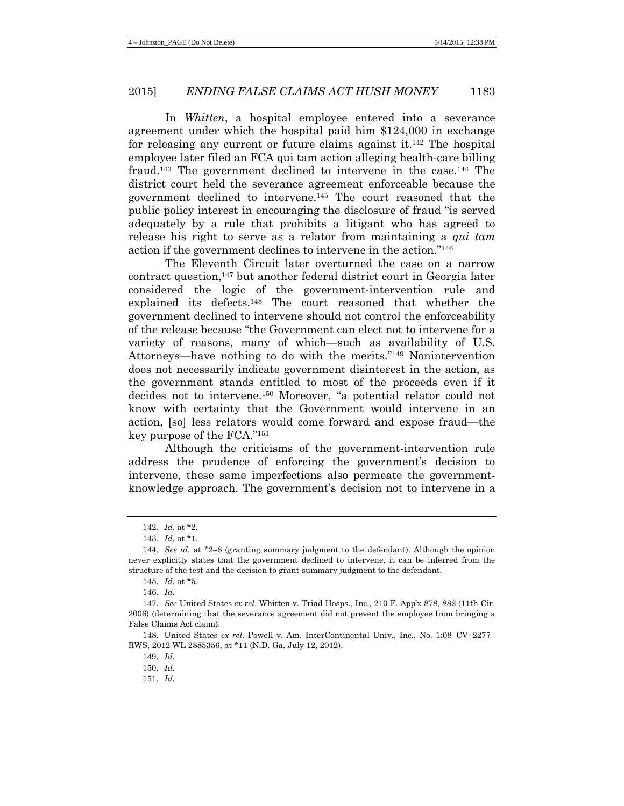In *Whitten*, a hospital employee entered into a severance agreement under which the hospital paid him \$124,000 in exchange for releasing any current or future claims against it. <sup>142</sup> The hospital employee later filed an FCA qui tam action alleging health-care billing fraud.143 The government declined to intervene in the case.144 The district court held the severance agreement enforceable because the government declined to intervene.145 The court reasoned that the public policy interest in encouraging the disclosure of fraud "is served adequately by a rule that prohibits a litigant who has agreed to release his right to serve as a relator from maintaining a *qui tam* action if the government declines to intervene in the action."146

The Eleventh Circuit later overturned the case on a narrow contract question,147 but another federal district court in Georgia later considered the logic of the government-intervention rule and explained its defects.148 The court reasoned that whether the government declined to intervene should not control the enforceability of the release because "the Government can elect not to intervene for a variety of reasons, many of which—such as availability of U.S. Attorneys—have nothing to do with the merits."149 Nonintervention does not necessarily indicate government disinterest in the action, as the government stands entitled to most of the proceeds even if it decides not to intervene.150 Moreover, "a potential relator could not know with certainty that the Government would intervene in an action, [so] less relators would come forward and expose fraud—the key purpose of the FCA."151

Although the criticisms of the government-intervention rule address the prudence of enforcing the government's decision to intervene, these same imperfections also permeate the governmentknowledge approach. The government's decision not to intervene in a

<sup>142.</sup> *Id*. at \*2.

<sup>143.</sup> *Id.* at \*1.

<sup>144.</sup> *See id.* at \*2–6 (granting summary judgment to the defendant). Although the opinion never explicitly states that the government declined to intervene, it can be inferred from the structure of the test and the decision to grant summary judgment to the defendant.

<sup>145.</sup> *Id.* at \*5.

<sup>146.</sup> *Id.* 

<sup>147.</sup> *See* United States *ex rel*. Whitten v. Triad Hosps., Inc., 210 F. App'x 878, 882 (11th Cir. 2006) (determining that the severance agreement did not prevent the employee from bringing a False Claims Act claim).

<sup>148.</sup> United States *ex rel*. Powell v. Am. InterContinental Univ., Inc., No. 1:08–CV–2277– RWS, 2012 WL 2885356, at \*11 (N.D. Ga. July 12, 2012).

<sup>149.</sup> *Id.*

<sup>150.</sup> *Id.*

<sup>151.</sup> *Id.*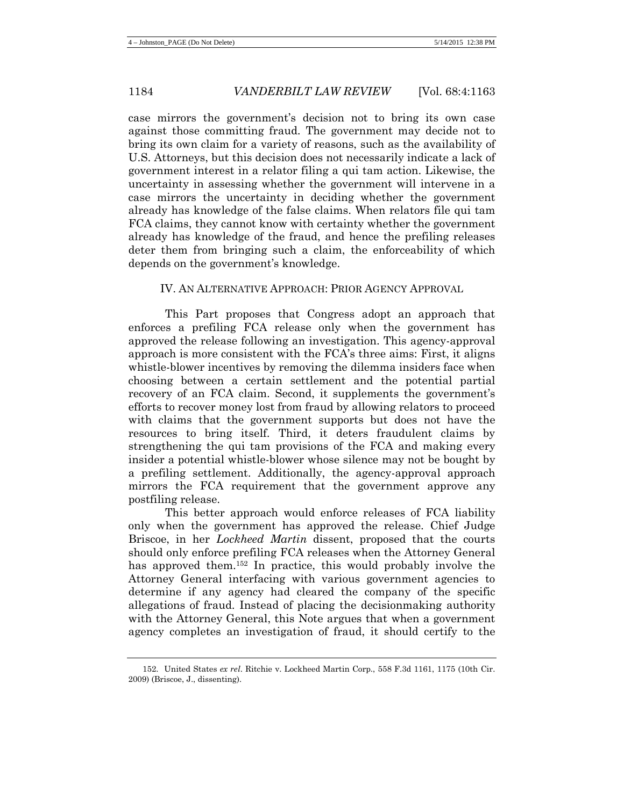case mirrors the government's decision not to bring its own case against those committing fraud. The government may decide not to bring its own claim for a variety of reasons, such as the availability of U.S. Attorneys, but this decision does not necessarily indicate a lack of government interest in a relator filing a qui tam action. Likewise, the uncertainty in assessing whether the government will intervene in a case mirrors the uncertainty in deciding whether the government already has knowledge of the false claims. When relators file qui tam FCA claims, they cannot know with certainty whether the government already has knowledge of the fraud, and hence the prefiling releases deter them from bringing such a claim, the enforceability of which depends on the government's knowledge.

#### IV. AN ALTERNATIVE APPROACH: PRIOR AGENCY APPROVAL

This Part proposes that Congress adopt an approach that enforces a prefiling FCA release only when the government has approved the release following an investigation. This agency-approval approach is more consistent with the FCA's three aims: First, it aligns whistle-blower incentives by removing the dilemma insiders face when choosing between a certain settlement and the potential partial recovery of an FCA claim. Second, it supplements the government's efforts to recover money lost from fraud by allowing relators to proceed with claims that the government supports but does not have the resources to bring itself. Third, it deters fraudulent claims by strengthening the qui tam provisions of the FCA and making every insider a potential whistle-blower whose silence may not be bought by a prefiling settlement. Additionally, the agency-approval approach mirrors the FCA requirement that the government approve any postfiling release.

This better approach would enforce releases of FCA liability only when the government has approved the release. Chief Judge Briscoe, in her *Lockheed Martin* dissent, proposed that the courts should only enforce prefiling FCA releases when the Attorney General has approved them.<sup>152</sup> In practice, this would probably involve the Attorney General interfacing with various government agencies to determine if any agency had cleared the company of the specific allegations of fraud. Instead of placing the decisionmaking authority with the Attorney General, this Note argues that when a government agency completes an investigation of fraud, it should certify to the

<sup>152.</sup> United States *ex rel*. Ritchie v. Lockheed Martin Corp., 558 F.3d 1161, 1175 (10th Cir. 2009) (Briscoe, J., dissenting).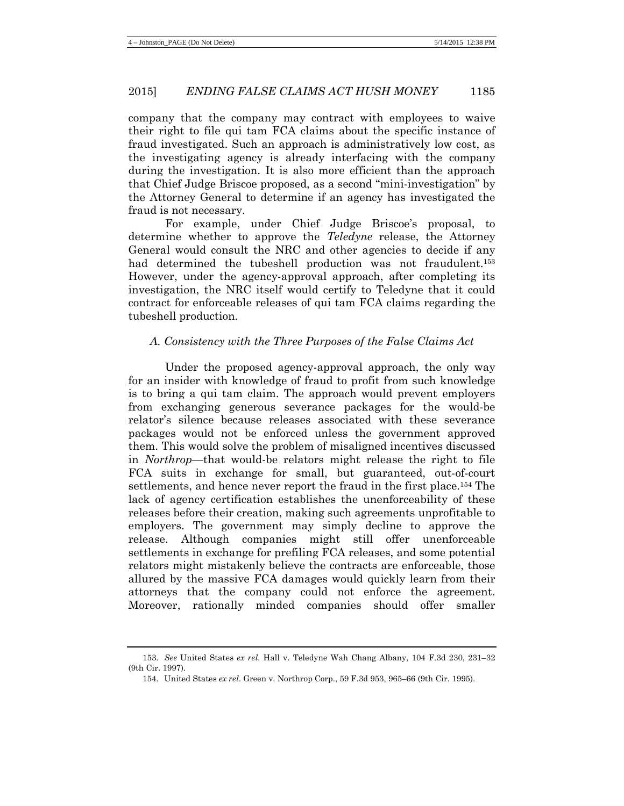company that the company may contract with employees to waive their right to file qui tam FCA claims about the specific instance of fraud investigated. Such an approach is administratively low cost, as the investigating agency is already interfacing with the company during the investigation. It is also more efficient than the approach that Chief Judge Briscoe proposed, as a second "mini-investigation" by the Attorney General to determine if an agency has investigated the fraud is not necessary.

For example, under Chief Judge Briscoe's proposal, to determine whether to approve the *Teledyne* release, the Attorney General would consult the NRC and other agencies to decide if any had determined the tubeshell production was not fraudulent.<sup>153</sup> However, under the agency-approval approach, after completing its investigation, the NRC itself would certify to Teledyne that it could contract for enforceable releases of qui tam FCA claims regarding the tubeshell production.

#### *A. Consistency with the Three Purposes of the False Claims Act*

Under the proposed agency-approval approach, the only way for an insider with knowledge of fraud to profit from such knowledge is to bring a qui tam claim. The approach would prevent employers from exchanging generous severance packages for the would-be relator's silence because releases associated with these severance packages would not be enforced unless the government approved them. This would solve the problem of misaligned incentives discussed in *Northrop*—that would-be relators might release the right to file FCA suits in exchange for small, but guaranteed, out-of-court settlements, and hence never report the fraud in the first place.154 The lack of agency certification establishes the unenforceability of these releases before their creation, making such agreements unprofitable to employers. The government may simply decline to approve the release. Although companies might still offer unenforceable settlements in exchange for prefiling FCA releases, and some potential relators might mistakenly believe the contracts are enforceable, those allured by the massive FCA damages would quickly learn from their attorneys that the company could not enforce the agreement. Moreover, rationally minded companies should offer smaller

<sup>153.</sup> *See* United States *ex rel*. Hall v. Teledyne Wah Chang Albany, 104 F.3d 230, 231–32 (9th Cir. 1997).

<sup>154.</sup> United States *ex rel*. Green v. Northrop Corp., 59 F.3d 953, 965–66 (9th Cir. 1995).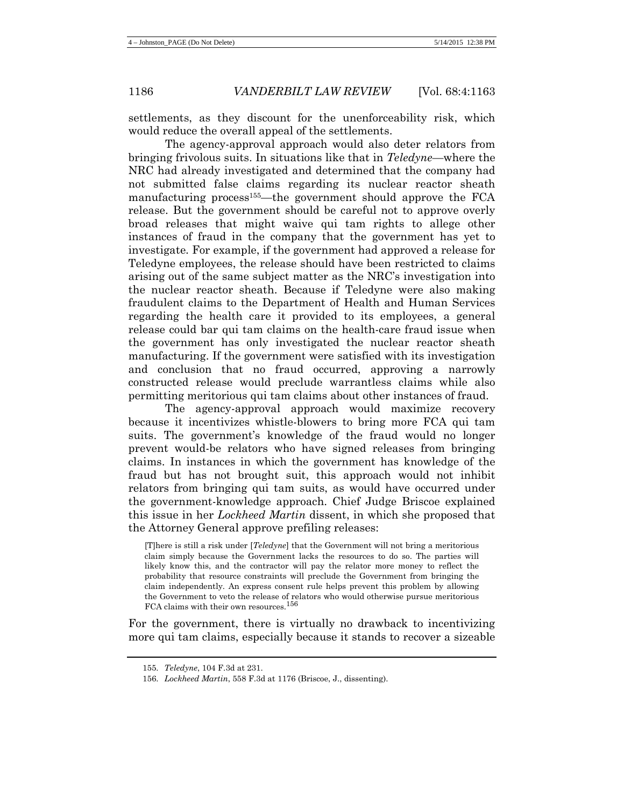settlements, as they discount for the unenforceability risk, which would reduce the overall appeal of the settlements.

The agency-approval approach would also deter relators from bringing frivolous suits. In situations like that in *Teledyne*—where the NRC had already investigated and determined that the company had not submitted false claims regarding its nuclear reactor sheath manufacturing process<sup>155</sup>—the government should approve the FCA release. But the government should be careful not to approve overly broad releases that might waive qui tam rights to allege other instances of fraud in the company that the government has yet to investigate. For example, if the government had approved a release for Teledyne employees, the release should have been restricted to claims arising out of the same subject matter as the NRC's investigation into the nuclear reactor sheath. Because if Teledyne were also making fraudulent claims to the Department of Health and Human Services regarding the health care it provided to its employees, a general release could bar qui tam claims on the health-care fraud issue when the government has only investigated the nuclear reactor sheath manufacturing. If the government were satisfied with its investigation and conclusion that no fraud occurred, approving a narrowly constructed release would preclude warrantless claims while also permitting meritorious qui tam claims about other instances of fraud.

The agency-approval approach would maximize recovery because it incentivizes whistle-blowers to bring more FCA qui tam suits. The government's knowledge of the fraud would no longer prevent would-be relators who have signed releases from bringing claims. In instances in which the government has knowledge of the fraud but has not brought suit, this approach would not inhibit relators from bringing qui tam suits, as would have occurred under the government-knowledge approach. Chief Judge Briscoe explained this issue in her *Lockheed Martin* dissent, in which she proposed that the Attorney General approve prefiling releases:

[T]here is still a risk under [*Teledyne*] that the Government will not bring a meritorious claim simply because the Government lacks the resources to do so. The parties will likely know this, and the contractor will pay the relator more money to reflect the probability that resource constraints will preclude the Government from bringing the claim independently. An express consent rule helps prevent this problem by allowing the Government to veto the release of relators who would otherwise pursue meritorious FCA claims with their own resources.<sup>156</sup>

For the government, there is virtually no drawback to incentivizing more qui tam claims, especially because it stands to recover a sizeable

<sup>155.</sup> *Teledyne*, 104 F.3d at 231.

<sup>156.</sup> *Lockheed Martin*, 558 F.3d at 1176 (Briscoe, J., dissenting).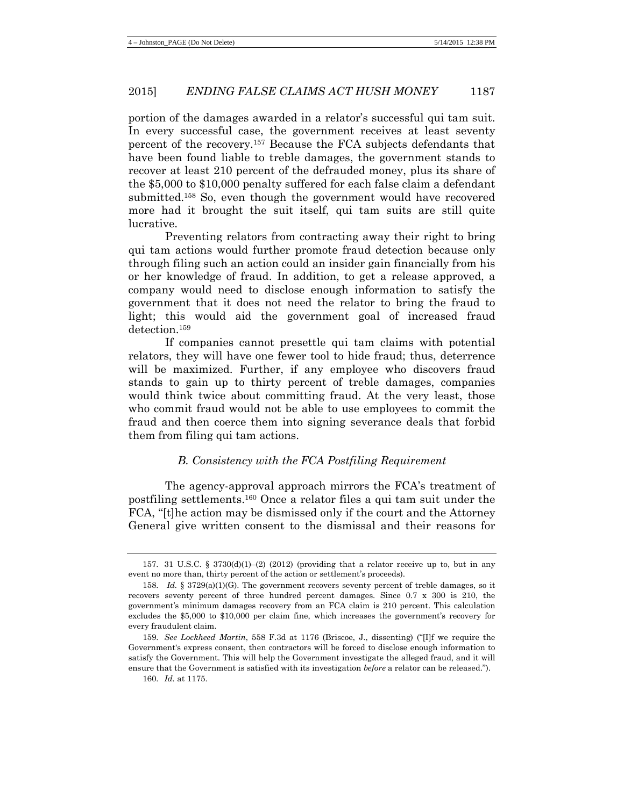portion of the damages awarded in a relator's successful qui tam suit. In every successful case, the government receives at least seventy percent of the recovery.157 Because the FCA subjects defendants that have been found liable to treble damages, the government stands to recover at least 210 percent of the defrauded money, plus its share of the \$5,000 to \$10,000 penalty suffered for each false claim a defendant submitted.158 So, even though the government would have recovered more had it brought the suit itself, qui tam suits are still quite lucrative.

<span id="page-24-0"></span>Preventing relators from contracting away their right to bring qui tam actions would further promote fraud detection because only through filing such an action could an insider gain financially from his or her knowledge of fraud. In addition, to get a release approved, a company would need to disclose enough information to satisfy the government that it does not need the relator to bring the fraud to light; this would aid the government goal of increased fraud detection.159

If companies cannot presettle qui tam claims with potential relators, they will have one fewer tool to hide fraud; thus, deterrence will be maximized. Further, if any employee who discovers fraud stands to gain up to thirty percent of treble damages, companies would think twice about committing fraud. At the very least, those who commit fraud would not be able to use employees to commit the fraud and then coerce them into signing severance deals that forbid them from filing qui tam actions.

## *B. Consistency with the FCA Postfiling Requirement*

The agency-approval approach mirrors the FCA's treatment of postfiling settlements. <sup>160</sup> Once a relator files a qui tam suit under the FCA, "[t]he action may be dismissed only if the court and the Attorney General give written consent to the dismissal and their reasons for

<sup>157. 31</sup> U.S.C. § 3730(d)(1)–(2) (2012) (providing that a relator receive up to, but in any event no more than, thirty percent of the action or settlement's proceeds).

<sup>158.</sup> *Id.* § 3729(a)(1)(G). The government recovers seventy percent of treble damages, so it recovers seventy percent of three hundred percent damages. Since 0.7 x 300 is 210, the government's minimum damages recovery from an FCA claim is 210 percent. This calculation excludes the \$5,000 to \$10,000 per claim fine, which increases the government's recovery for every fraudulent claim.

<sup>159.</sup> *See Lockheed Martin*, 558 F.3d at 1176 (Briscoe, J., dissenting) ("[I]f we require the Government's express consent, then contractors will be forced to disclose enough information to satisfy the Government. This will help the Government investigate the alleged fraud, and it will ensure that the Government is satisfied with its investigation *before* a relator can be released.").

<sup>160.</sup> *Id.* at 1175.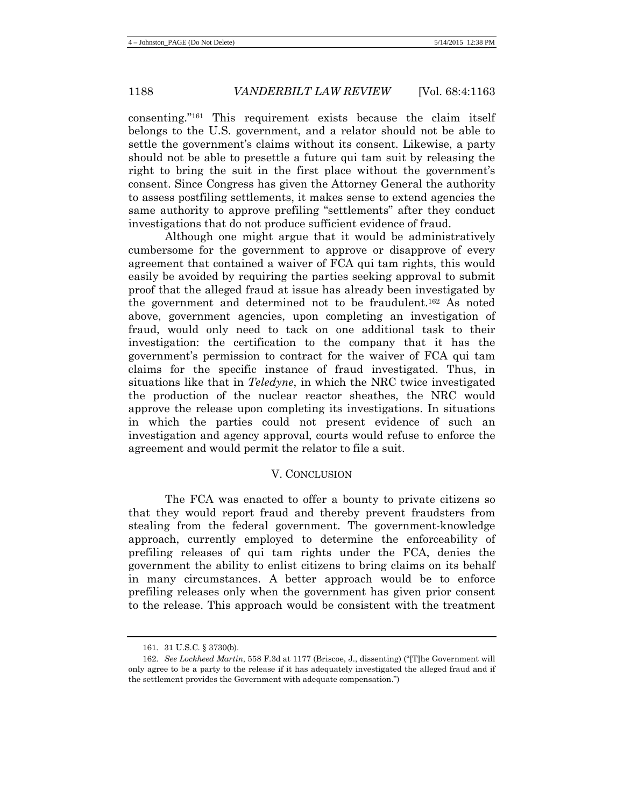consenting."161 This requirement exists because the claim itself belongs to the U.S. government, and a relator should not be able to settle the government's claims without its consent. Likewise, a party should not be able to presettle a future qui tam suit by releasing the right to bring the suit in the first place without the government's consent. Since Congress has given the Attorney General the authority to assess postfiling settlements, it makes sense to extend agencies the same authority to approve prefiling "settlements" after they conduct investigations that do not produce sufficient evidence of fraud.

Although one might argue that it would be administratively cumbersome for the government to approve or disapprove of every agreement that contained a waiver of FCA qui tam rights, this would easily be avoided by requiring the parties seeking approval to submit proof that the alleged fraud at issue has already been investigated by the government and determined not to be fraudulent.162 As noted above, government agencies, upon completing an investigation of fraud, would only need to tack on one additional task to their investigation: the certification to the company that it has the government's permission to contract for the waiver of FCA qui tam claims for the specific instance of fraud investigated. Thus, in situations like that in *Teledyne*, in which the NRC twice investigated the production of the nuclear reactor sheathes, the NRC would approve the release upon completing its investigations. In situations in which the parties could not present evidence of such an investigation and agency approval, courts would refuse to enforce the agreement and would permit the relator to file a suit.

#### V. CONCLUSION

The FCA was enacted to offer a bounty to private citizens so that they would report fraud and thereby prevent fraudsters from stealing from the federal government. The government-knowledge approach, currently employed to determine the enforceability of prefiling releases of qui tam rights under the FCA, denies the government the ability to enlist citizens to bring claims on its behalf in many circumstances. A better approach would be to enforce prefiling releases only when the government has given prior consent to the release. This approach would be consistent with the treatment

<sup>161.</sup> 31 U.S.C. § 3730(b).

<sup>162.</sup> *See Lockheed Martin*, 558 F.3d at 1177 (Briscoe, J., dissenting) ("[T]he Government will only agree to be a party to the release if it has adequately investigated the alleged fraud and if the settlement provides the Government with adequate compensation.")